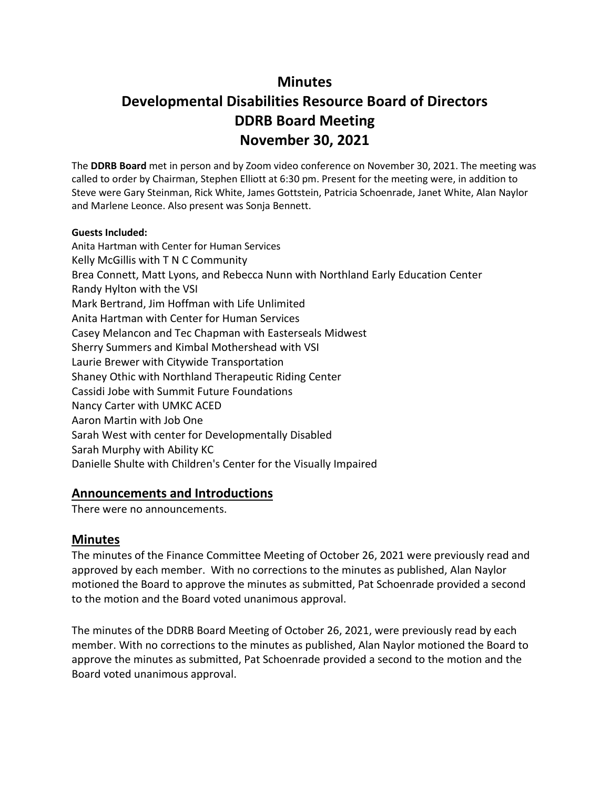# **Minutes**

# **Developmental Disabilities Resource Board of Directors DDRB Board Meeting November 30, 2021**

The **DDRB Board** met in person and by Zoom video conference on November 30, 2021. The meeting was called to order by Chairman, Stephen Elliott at 6:30 pm. Present for the meeting were, in addition to Steve were Gary Steinman, Rick White, James Gottstein, Patricia Schoenrade, Janet White, Alan Naylor and Marlene Leonce. Also present was Sonja Bennett.

#### **Guests Included:**

Anita Hartman with Center for Human Services Kelly McGillis with T N C Community Brea Connett, Matt Lyons, and Rebecca Nunn with Northland Early Education Center Randy Hylton with the VSI Mark Bertrand, Jim Hoffman with Life Unlimited Anita Hartman with Center for Human Services Casey Melancon and Tec Chapman with Easterseals Midwest Sherry Summers and Kimbal Mothershead with VSI Laurie Brewer with Citywide Transportation Shaney Othic with Northland Therapeutic Riding Center Cassidi Jobe with Summit Future Foundations Nancy Carter with UMKC ACED Aaron Martin with Job One Sarah West with center for Developmentally Disabled Sarah Murphy with Ability KC Danielle Shulte with Children's Center for the Visually Impaired

## **Announcements and Introductions**

There were no announcements.

# **Minutes**

The minutes of the Finance Committee Meeting of October 26, 2021 were previously read and approved by each member. With no corrections to the minutes as published, Alan Naylor motioned the Board to approve the minutes as submitted, Pat Schoenrade provided a second to the motion and the Board voted unanimous approval.

The minutes of the DDRB Board Meeting of October 26, 2021, were previously read by each member. With no corrections to the minutes as published, Alan Naylor motioned the Board to approve the minutes as submitted, Pat Schoenrade provided a second to the motion and the Board voted unanimous approval.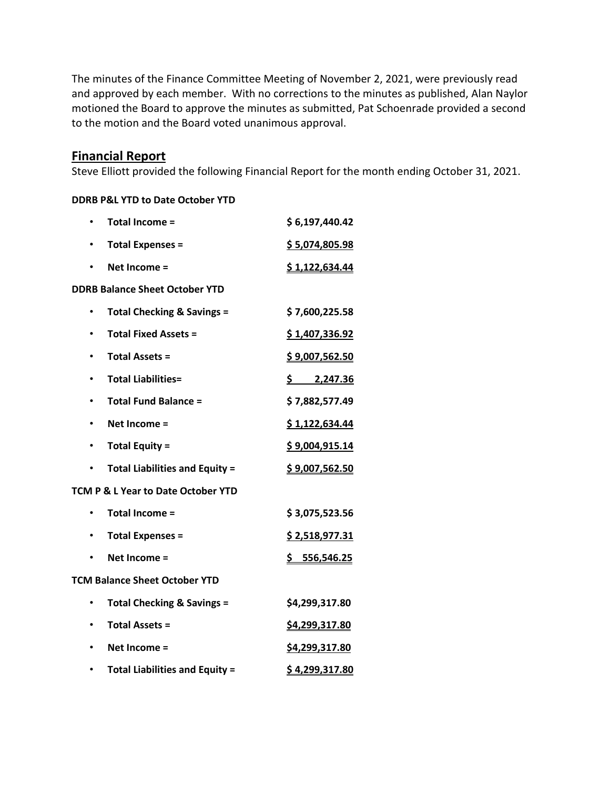The minutes of the Finance Committee Meeting of November 2, 2021, were previously read and approved by each member. With no corrections to the minutes as published, Alan Naylor motioned the Board to approve the minutes as submitted, Pat Schoenrade provided a second to the motion and the Board voted unanimous approval.

# **Financial Report**

Steve Elliott provided the following Financial Report for the month ending October 31, 2021.

#### **DDRB P&L YTD to Date October YTD**

|           | Total Income =                        | \$6,197,440.42           |
|-----------|---------------------------------------|--------------------------|
|           | <b>Total Expenses =</b>               | \$5,074,805.98           |
|           | Net Income =                          | \$1,122,634.44           |
|           | <b>DDRB Balance Sheet October YTD</b> |                          |
|           | <b>Total Checking &amp; Savings =</b> | \$7,600,225.58           |
| $\bullet$ | <b>Total Fixed Assets =</b>           | \$1,407,336.92           |
|           | <b>Total Assets =</b>                 | <u>\$9,007,562.50</u>    |
|           | <b>Total Liabilities=</b>             | $\frac{5}{2}$ , 2,247.36 |
| ٠         | <b>Total Fund Balance =</b>           | \$7,882,577.49           |
| ٠         | Net Income =                          | \$1,122,634.44           |
| $\bullet$ | <b>Total Equity =</b>                 | \$9,004,915.14           |
| ٠         | <b>Total Liabilities and Equity =</b> | \$9,007,562.50           |
|           | TCM P & L Year to Date October YTD    |                          |
|           | Total Income =                        | \$3,075,523.56           |
| $\bullet$ | <b>Total Expenses =</b>               | \$2,518,977.31           |
|           | Net Income =                          | \$556,546.25             |
|           | <b>TCM Balance Sheet October YTD</b>  |                          |
|           | <b>Total Checking &amp; Savings =</b> | \$4,299,317.80           |
|           | <b>Total Assets =</b>                 | \$4,299,317.80           |
|           | Net Income =                          | \$4,299,317.80           |
|           | <b>Total Liabilities and Equity =</b> | \$4,299,317.80           |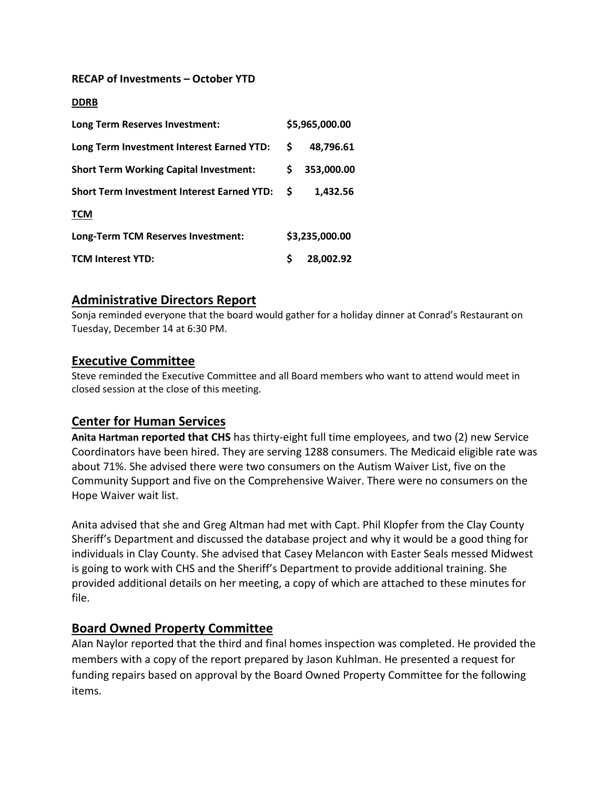#### **RECAP of Investments – October YTD**

#### **DDRB**

| Long Term Reserves Investment:                    | \$5,965,000.00 |                |  |  |  |
|---------------------------------------------------|----------------|----------------|--|--|--|
| Long Term Investment Interest Earned YTD:         | S.             | 48,796.61      |  |  |  |
| <b>Short Term Working Capital Investment:</b>     | S.             | 353,000.00     |  |  |  |
| <b>Short Term Investment Interest Earned YTD:</b> | S              | 1,432.56       |  |  |  |
| <b>TCM</b>                                        |                |                |  |  |  |
| Long-Term TCM Reserves Investment:                |                | \$3,235,000.00 |  |  |  |
| <b>TCM Interest YTD:</b>                          | Ś              | 28,002.92      |  |  |  |

## **Administrative Directors Report**

Sonja reminded everyone that the board would gather for a holiday dinner at Conrad's Restaurant on Tuesday, December 14 at 6:30 PM.

## **Executive Committee**

Steve reminded the Executive Committee and all Board members who want to attend would meet in closed session at the close of this meeting.

# **Center for Human Services**

**Anita Hartman reported that CHS** has thirty-eight full time employees, and two (2) new Service Coordinators have been hired. They are serving 1288 consumers. The Medicaid eligible rate was about 71%. She advised there were two consumers on the Autism Waiver List, five on the Community Support and five on the Comprehensive Waiver. There were no consumers on the Hope Waiver wait list.

Anita advised that she and Greg Altman had met with Capt. Phil Klopfer from the Clay County Sheriff's Department and discussed the database project and why it would be a good thing for individuals in Clay County. She advised that Casey Melancon with Easter Seals messed Midwest is going to work with CHS and the Sheriff's Department to provide additional training. She provided additional details on her meeting, a copy of which are attached to these minutes for file.

# **Board Owned Property Committee**

Alan Naylor reported that the third and final homes inspection was completed. He provided the members with a copy of the report prepared by Jason Kuhlman. He presented a request for funding repairs based on approval by the Board Owned Property Committee for the following items.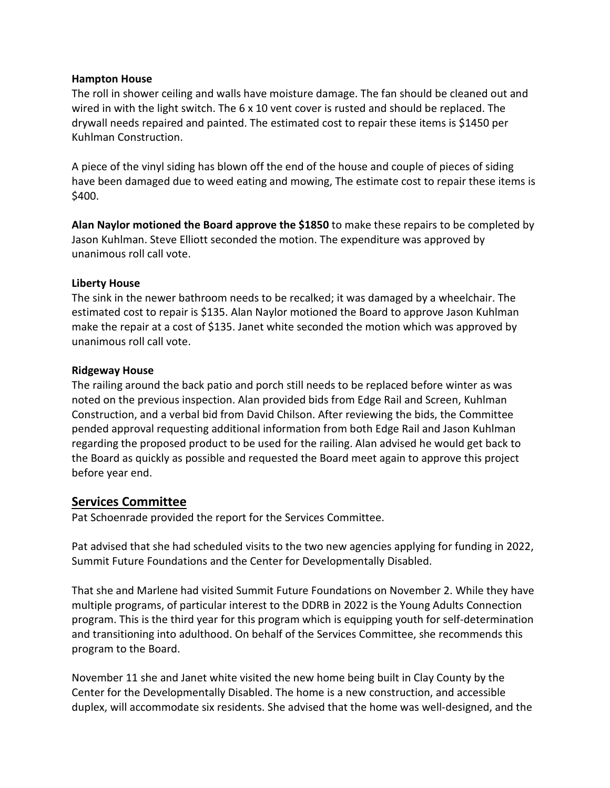## **Hampton House**

The roll in shower ceiling and walls have moisture damage. The fan should be cleaned out and wired in with the light switch. The 6 x 10 vent cover is rusted and should be replaced. The drywall needs repaired and painted. The estimated cost to repair these items is \$1450 per Kuhlman Construction.

A piece of the vinyl siding has blown off the end of the house and couple of pieces of siding have been damaged due to weed eating and mowing, The estimate cost to repair these items is \$400.

**Alan Naylor motioned the Board approve the \$1850** to make these repairs to be completed by Jason Kuhlman. Steve Elliott seconded the motion. The expenditure was approved by unanimous roll call vote.

### **Liberty House**

The sink in the newer bathroom needs to be recalked; it was damaged by a wheelchair. The estimated cost to repair is \$135. Alan Naylor motioned the Board to approve Jason Kuhlman make the repair at a cost of \$135. Janet white seconded the motion which was approved by unanimous roll call vote.

### **Ridgeway House**

The railing around the back patio and porch still needs to be replaced before winter as was noted on the previous inspection. Alan provided bids from Edge Rail and Screen, Kuhlman Construction, and a verbal bid from David Chilson. After reviewing the bids, the Committee pended approval requesting additional information from both Edge Rail and Jason Kuhlman regarding the proposed product to be used for the railing. Alan advised he would get back to the Board as quickly as possible and requested the Board meet again to approve this project before year end.

# **Services Committee**

Pat Schoenrade provided the report for the Services Committee.

Pat advised that she had scheduled visits to the two new agencies applying for funding in 2022, Summit Future Foundations and the Center for Developmentally Disabled.

That she and Marlene had visited Summit Future Foundations on November 2. While they have multiple programs, of particular interest to the DDRB in 2022 is the Young Adults Connection program. This is the third year for this program which is equipping youth for self-determination and transitioning into adulthood. On behalf of the Services Committee, she recommends this program to the Board.

November 11 she and Janet white visited the new home being built in Clay County by the Center for the Developmentally Disabled. The home is a new construction, and accessible duplex, will accommodate six residents. She advised that the home was well-designed, and the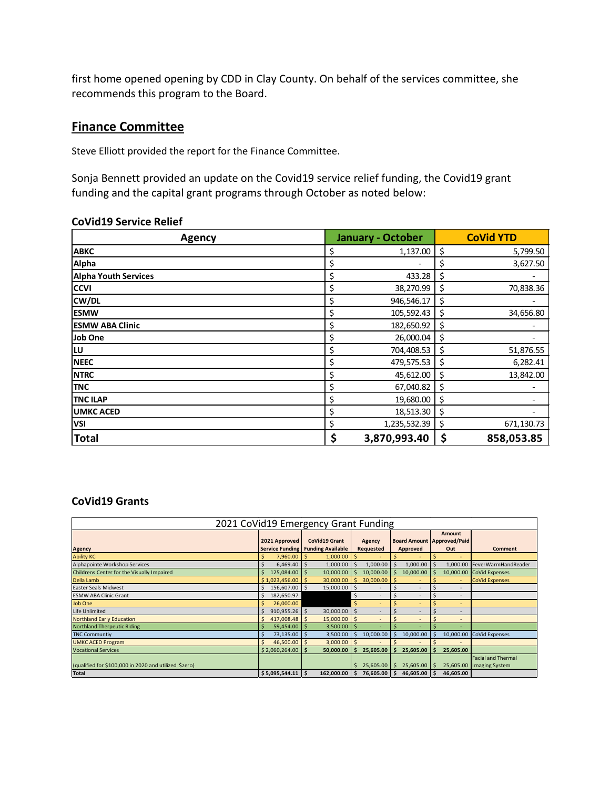first home opened opening by CDD in Clay County. On behalf of the services committee, she recommends this program to the Board.

# **Finance Committee**

Steve Elliott provided the report for the Finance Committee.

Sonja Bennett provided an update on the Covid19 service relief funding, the Covid19 grant funding and the capital grant programs through October as noted below:

| Agency                      | <b>January - October</b> | <b>CoVid YTD</b> |
|-----------------------------|--------------------------|------------------|
| <b>ABKC</b>                 | \$<br>1,137.00           | \$<br>5,799.50   |
| Alpha                       | \$<br>-                  | \$<br>3,627.50   |
| <b>Alpha Youth Services</b> | \$<br>433.28             | \$               |
| <b>CCVI</b>                 | \$<br>38,270.99          | \$<br>70,838.36  |
| CW/DL                       | \$<br>946,546.17         | \$               |
| <b>ESMW</b>                 | \$<br>105,592.43         | \$<br>34,656.80  |
| <b>ESMW ABA Clinic</b>      | \$<br>182,650.92         | \$               |
| Job One                     | \$<br>26,000.04          | \$               |
| <b>LU</b>                   | \$<br>704,408.53         | \$<br>51,876.55  |
| <b>NEEC</b>                 | \$<br>479,575.53         | \$<br>6,282.41   |
| <b>NTRC</b>                 | \$<br>45,612.00          | \$<br>13,842.00  |
| <b>TNC</b>                  | \$<br>67,040.82          | \$               |
| <b>TNC ILAP</b>             | \$<br>19,680.00          | \$               |
| <b>UMKC ACED</b>            | \$<br>18,513.30          | \$               |
| <b>VSI</b>                  | \$<br>1,235,532.39       | \$<br>671,130.73 |
| <b>Total</b>                | \$<br>3,870,993.40       | \$<br>858,053.85 |

#### **CoVid19 Service Relief**

## **CoVid19 Grants**

| 2021 CoVid19 Emergency Grant Funding                  |               |                |                                   |              |              |           |             |                          |                                     |                          |                            |
|-------------------------------------------------------|---------------|----------------|-----------------------------------|--------------|--------------|-----------|-------------|--------------------------|-------------------------------------|--------------------------|----------------------------|
|                                                       |               |                |                                   |              |              |           |             |                          | Amount                              |                          |                            |
|                                                       | 2021 Approved |                | <b>CoVid19 Grant</b>              |              | Agency       |           |             |                          | <b>Board Amount   Approved/Paid</b> |                          |                            |
| Agency                                                |               |                | Service Funding Funding Available |              | Requested    |           | Approved    |                          | Out                                 |                          | <b>Comment</b>             |
| <b>Ability KC</b>                                     |               | 7,960.00       |                                   | 1,000.00     |              |           |             |                          |                                     |                          |                            |
| Alphapointe Workshop Services                         | Ŝ             | 6,469.40       | Ŝ.                                | 1,000.00     | Ŝ.           | 1,000.00  |             | 1,000.00                 |                                     | 1,000.00                 | FeverWarmHandReader        |
| Childrens Center for the Visually Impaired            | Ś             | 125,084.00     |                                   | 10,000.00    | ς            | 10,000.00 |             | 10,000.00                |                                     |                          | 10,000.00 CoVid Expenses   |
| Della Lamb                                            |               | \$1,023,456.00 |                                   | 30,000.00    |              | 30,000.00 |             |                          |                                     | ٠                        | <b>CoVid Expenses</b>      |
| Easter Seals Midwest                                  | Ŝ             | 156,607.00     |                                   | 15,000.00 \$ |              |           |             | ۰                        |                                     |                          |                            |
| <b>ESMW ABA Clinic Grant</b>                          |               | 182,650.97     |                                   |              | <sub>S</sub> |           |             | $\overline{\phantom{a}}$ |                                     | $\overline{\phantom{a}}$ |                            |
| Job One                                               |               | 26,000.00      |                                   |              |              |           |             | ۰                        |                                     | ٠                        |                            |
| <b>Life Unlimited</b>                                 | Ŝ             | 910,955.26     | Ŝ.                                | 30,000.00    | - S          |           |             |                          |                                     | ٠                        |                            |
| <b>Northland Early Education</b>                      | Ŝ             | 417,008.48     |                                   | 15,000.00    | IS.          |           |             | $\overline{a}$           |                                     | $\overline{a}$           |                            |
| <b>Northland Therpeutic Riding</b>                    |               | 59,454.00      |                                   | 3,500.00     |              |           |             |                          |                                     |                          |                            |
| <b>TNC Communtiy</b>                                  |               | 73,135.00      |                                   | 3,500.00     | ς            | 10,000.00 |             | 10,000.00                |                                     |                          | 10,000.00 CoVid Expenses   |
| <b>UMKC ACED Program</b>                              |               | 46,500.00      |                                   | 3,000.00     |              |           |             |                          |                                     |                          |                            |
| <b>Vocational Services</b>                            |               | \$2,060,264.00 |                                   | 50,000.00    |              | 25,605.00 |             | 25,605.00                |                                     | 25.605.00                |                            |
|                                                       |               |                |                                   |              |              |           |             |                          |                                     |                          | <b>Facial and Thermal</b>  |
| (qualified for \$100,000 in 2020 and utilized \$zero) |               |                |                                   |              | \$.          | 25,605.00 | $\varsigma$ | 25,605.00                |                                     |                          | 25,605.00   Imaging System |
| <b>Total</b>                                          |               | \$5,095,544.11 |                                   | 162,000.00   | \$.          | 76,605.00 |             | 46,605.00                |                                     | 46,605.00                |                            |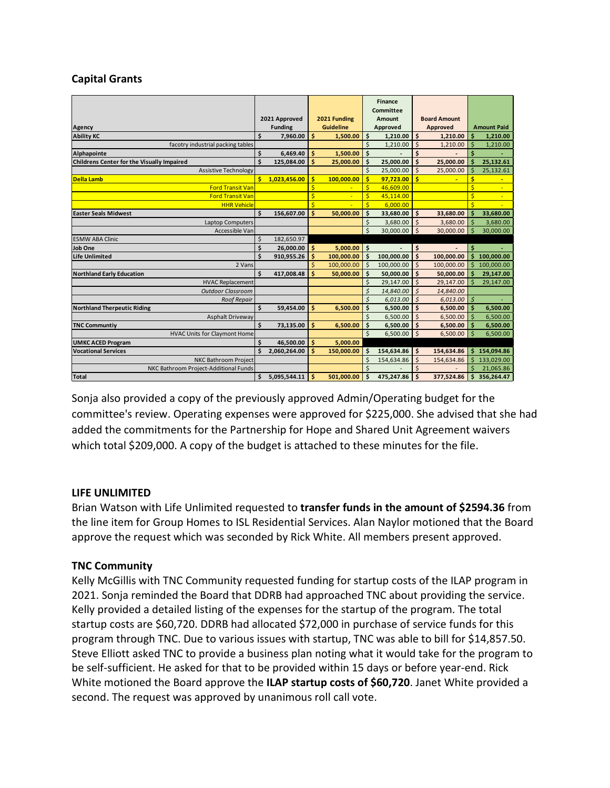## **Capital Grants**

|                                            |    |                |                  |              |                         | <b>Finance</b> |                     |            |                         |                    |  |
|--------------------------------------------|----|----------------|------------------|--------------|-------------------------|----------------|---------------------|------------|-------------------------|--------------------|--|
|                                            |    |                |                  |              |                         | Committee      |                     |            |                         |                    |  |
|                                            |    | 2021 Approved  |                  | 2021 Funding |                         | <b>Amount</b>  | <b>Board Amount</b> |            |                         |                    |  |
| Agency                                     |    | <b>Funding</b> | <b>Guideline</b> |              | Approved                |                | Approved            |            |                         | <b>Amount Paid</b> |  |
| <b>Ability KC</b>                          | \$ | 7,960.00       | \$               | 1,500.00     | \$                      | 1,210.00       | \$                  | 1,210.00   | Ś                       | 1,210.00           |  |
| facotry industrial packing tables          |    |                |                  |              | Ś                       | 1,210.00       | $\mathsf{\hat{S}}$  | 1,210.00   | Ś                       | 1,210.00           |  |
| Alphapointe                                | Ś  | 6,469.40       | \$               | 1,500.00     | \$                      |                | Ś                   |            | Ś                       |                    |  |
| Childrens Center for the Visually Impaired | Ś  | 125,084.00     | Ś                | 25,000.00    | \$                      | 25,000.00      | $\dot{\mathsf{s}}$  | 25,000.00  | Ś                       | 25,132.61          |  |
| <b>Assistive Technology</b>                |    |                |                  |              | \$                      | 25,000.00      | $\mathsf{\dot{S}}$  | 25,000.00  | Ś                       | 25,132.61          |  |
| <b>Della Lamb</b>                          | \$ | 1,023,456.00   | Ś                | 100,000.00   | \$                      | 97,723.00      | ś                   | ٠          | \$                      |                    |  |
| <b>Ford Transit Van</b>                    |    |                | \$               |              | \$                      | 46,609.00      |                     |            | $\overline{\mathsf{S}}$ | ٠                  |  |
| <b>Ford Transit Van</b>                    |    |                | \$               |              | \$                      | 45,114.00      |                     |            | $\overline{\mathsf{S}}$ | ٠                  |  |
| <b>HHR Vehicle</b>                         |    |                | Ś                |              | \$                      | 6,000.00       |                     |            | $\overline{\mathsf{S}}$ |                    |  |
| <b>Easter Seals Midwest</b>                | \$ | 156,607.00     | Ś                | 50.000.00    | \$                      | 33,680.00      | Ś                   | 33.680.00  | \$                      | 33,680.00          |  |
| <b>Laptop Computers</b>                    |    |                |                  |              | \$                      | 3,680.00       | $\mathsf{\hat{S}}$  | 3,680.00   | Ś                       | 3,680.00           |  |
| Accessible Van                             |    |                |                  |              | \$                      | 30,000.00      | $\mathsf{S}$        | 30,000.00  | Ś                       | 30,000.00          |  |
| <b>ESMW ABA Clinic</b>                     | \$ | 182,650.97     |                  |              |                         |                |                     |            |                         |                    |  |
| Job One                                    | \$ | 26,000.00      | \$               | 5,000.00     | \$                      |                | \$                  |            | \$                      |                    |  |
| <b>Life Unlimited</b>                      | Ś  | 910,955.26     | Ś                | 100,000.00   | \$                      | 100,000.00     | $\dot{\mathsf{s}}$  | 100,000.00 | Ś                       | 100,000.00         |  |
| 2 Vans                                     |    |                |                  | 100,000.00   | \$                      | 100,000.00     | $\mathsf{\dot{S}}$  | 100,000.00 | Ś                       | 100,000.00         |  |
| <b>Northland Early Education</b>           | \$ | 417,008.48     | Ś                | 50,000.00    | \$                      | 50,000.00      | Ś                   | 50,000.00  | Ś                       | 29,147.00          |  |
| <b>HVAC Replacement</b>                    |    |                |                  |              | \$                      | 29,147.00      | $\zeta$             | 29,147.00  |                         | 29,147.00          |  |
| <b>Outdoor Classroom</b>                   |    |                |                  |              | Ś                       | 14,840.00      | $\mathsf{\hat{S}}$  | 14,840.00  |                         |                    |  |
| <b>Roof Repair</b>                         |    |                |                  |              | Ś                       | 6,013.00       | $\mathsf{\hat{S}}$  | 6,013.00   | \$                      |                    |  |
| <b>Northland Therpeutic Riding</b>         | Ś  | 59.454.00      | Ś                | 6,500.00     | Ś                       | 6,500.00       | Ś                   | 6,500.00   | Ś                       | 6,500.00           |  |
| Asphalt Driveway                           |    |                |                  |              | Ś                       | 6,500.00       | <sub>\$</sub>       | 6,500.00   | $\ddot{s}$              | 6,500.00           |  |
| <b>TNC Communtiy</b>                       | \$ | 73,135.00      | Ś                | 6,500.00     | \$                      | 6,500.00       | \$                  | 6,500.00   | Ś                       | 6,500.00           |  |
| <b>HVAC Units for Claymont Home</b>        |    |                |                  |              | $\overline{\mathsf{S}}$ | 6,500.00       | $\dot{\mathsf{s}}$  | 6,500.00   | Ŝ                       | 6,500.00           |  |
| <b>UMKC ACED Program</b>                   | Ś  | 46,500.00      | \$               | 5,000.00     |                         |                |                     |            |                         |                    |  |
| <b>Vocational Services</b>                 |    | 2,060,264.00   | Ś                | 150,000.00   | \$                      | 154,634.86     | \$                  | 154,634.86 | Ś                       | 154,094.86         |  |
| NKC Bathroom Project                       |    |                |                  |              | Ś                       | 154,634.86     | $\mathsf{\hat{S}}$  | 154,634.86 |                         | 133,029.00         |  |
| NKC Bathroom Project-Additional Funds      |    |                |                  |              | Ś                       |                |                     |            |                         | 21,065.86          |  |
| <b>Total</b>                               | \$ | 5.095.544.11   | Ś                | 501.000.00   | \$                      | 475,247.86     | \$                  | 377,524.86 | Ś                       | 356,264.47         |  |

Sonja also provided a copy of the previously approved Admin/Operating budget for the committee's review. Operating expenses were approved for \$225,000. She advised that she had added the commitments for the Partnership for Hope and Shared Unit Agreement waivers which total \$209,000. A copy of the budget is attached to these minutes for the file.

## **LIFE UNLIMITED**

Brian Watson with Life Unlimited requested to **transfer funds in the amount of \$2594.36** from the line item for Group Homes to ISL Residential Services. Alan Naylor motioned that the Board approve the request which was seconded by Rick White. All members present approved.

## **TNC Community**

Kelly McGillis with TNC Community requested funding for startup costs of the ILAP program in 2021. Sonja reminded the Board that DDRB had approached TNC about providing the service. Kelly provided a detailed listing of the expenses for the startup of the program. The total startup costs are \$60,720. DDRB had allocated \$72,000 in purchase of service funds for this program through TNC. Due to various issues with startup, TNC was able to bill for \$14,857.50. Steve Elliott asked TNC to provide a business plan noting what it would take for the program to be self-sufficient. He asked for that to be provided within 15 days or before year-end. Rick White motioned the Board approve the **ILAP startup costs of \$60,720**. Janet White provided a second. The request was approved by unanimous roll call vote.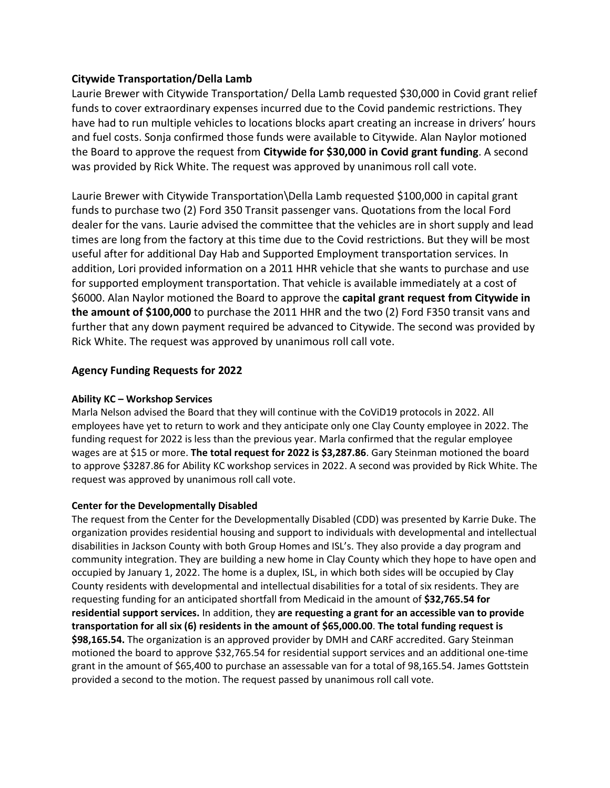## **Citywide Transportation/Della Lamb**

Laurie Brewer with Citywide Transportation/ Della Lamb requested \$30,000 in Covid grant relief funds to cover extraordinary expenses incurred due to the Covid pandemic restrictions. They have had to run multiple vehicles to locations blocks apart creating an increase in drivers' hours and fuel costs. Sonja confirmed those funds were available to Citywide. Alan Naylor motioned the Board to approve the request from **Citywide for \$30,000 in Covid grant funding**. A second was provided by Rick White. The request was approved by unanimous roll call vote.

Laurie Brewer with Citywide Transportation\Della Lamb requested \$100,000 in capital grant funds to purchase two (2) Ford 350 Transit passenger vans. Quotations from the local Ford dealer for the vans. Laurie advised the committee that the vehicles are in short supply and lead times are long from the factory at this time due to the Covid restrictions. But they will be most useful after for additional Day Hab and Supported Employment transportation services. In addition, Lori provided information on a 2011 HHR vehicle that she wants to purchase and use for supported employment transportation. That vehicle is available immediately at a cost of \$6000. Alan Naylor motioned the Board to approve the **capital grant request from Citywide in the amount of \$100,000** to purchase the 2011 HHR and the two (2) Ford F350 transit vans and further that any down payment required be advanced to Citywide. The second was provided by Rick White. The request was approved by unanimous roll call vote.

## **Agency Funding Requests for 2022**

#### **Ability KC – Workshop Services**

Marla Nelson advised the Board that they will continue with the CoViD19 protocols in 2022. All employees have yet to return to work and they anticipate only one Clay County employee in 2022. The funding request for 2022 is less than the previous year. Marla confirmed that the regular employee wages are at \$15 or more. **The total request for 2022 is \$3,287.86**. Gary Steinman motioned the board to approve \$3287.86 for Ability KC workshop services in 2022. A second was provided by Rick White. The request was approved by unanimous roll call vote.

#### **Center for the Developmentally Disabled**

The request from the Center for the Developmentally Disabled (CDD) was presented by Karrie Duke. The organization provides residential housing and support to individuals with developmental and intellectual disabilities in Jackson County with both Group Homes and ISL's. They also provide a day program and community integration. They are building a new home in Clay County which they hope to have open and occupied by January 1, 2022. The home is a duplex, ISL, in which both sides will be occupied by Clay County residents with developmental and intellectual disabilities for a total of six residents. They are requesting funding for an anticipated shortfall from Medicaid in the amount of **\$32,765.54 for residential support services.** In addition, they **are requesting a grant for an accessible van to provide transportation for all six (6) residents in the amount of \$65,000.00**. **The total funding request is \$98,165.54.** The organization is an approved provider by DMH and CARF accredited. Gary Steinman motioned the board to approve \$32,765.54 for residential support services and an additional one-time grant in the amount of \$65,400 to purchase an assessable van for a total of 98,165.54. James Gottstein provided a second to the motion. The request passed by unanimous roll call vote.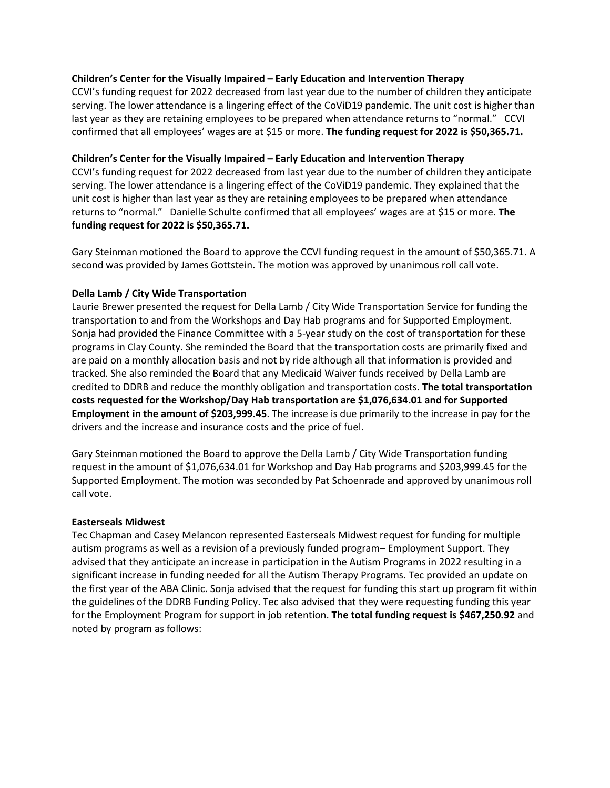#### **Children's Center for the Visually Impaired – Early Education and Intervention Therapy**

CCVI's funding request for 2022 decreased from last year due to the number of children they anticipate serving. The lower attendance is a lingering effect of the CoViD19 pandemic. The unit cost is higher than last year as they are retaining employees to be prepared when attendance returns to "normal." CCVI confirmed that all employees' wages are at \$15 or more. **The funding request for 2022 is \$50,365.71.** 

#### **Children's Center for the Visually Impaired – Early Education and Intervention Therapy**

CCVI's funding request for 2022 decreased from last year due to the number of children they anticipate serving. The lower attendance is a lingering effect of the CoViD19 pandemic. They explained that the unit cost is higher than last year as they are retaining employees to be prepared when attendance returns to "normal." Danielle Schulte confirmed that all employees' wages are at \$15 or more. **The funding request for 2022 is \$50,365.71.** 

Gary Steinman motioned the Board to approve the CCVI funding request in the amount of \$50,365.71. A second was provided by James Gottstein. The motion was approved by unanimous roll call vote.

#### **Della Lamb / City Wide Transportation**

Laurie Brewer presented the request for Della Lamb / City Wide Transportation Service for funding the transportation to and from the Workshops and Day Hab programs and for Supported Employment. Sonja had provided the Finance Committee with a 5-year study on the cost of transportation for these programs in Clay County. She reminded the Board that the transportation costs are primarily fixed and are paid on a monthly allocation basis and not by ride although all that information is provided and tracked. She also reminded the Board that any Medicaid Waiver funds received by Della Lamb are credited to DDRB and reduce the monthly obligation and transportation costs. **The total transportation costs requested for the Workshop/Day Hab transportation are \$1,076,634.01 and for Supported Employment in the amount of \$203,999.45**. The increase is due primarily to the increase in pay for the drivers and the increase and insurance costs and the price of fuel.

Gary Steinman motioned the Board to approve the Della Lamb / City Wide Transportation funding request in the amount of \$1,076,634.01 for Workshop and Day Hab programs and \$203,999.45 for the Supported Employment. The motion was seconded by Pat Schoenrade and approved by unanimous roll call vote.

#### **Easterseals Midwest**

Tec Chapman and Casey Melancon represented Easterseals Midwest request for funding for multiple autism programs as well as a revision of a previously funded program– Employment Support. They advised that they anticipate an increase in participation in the Autism Programs in 2022 resulting in a significant increase in funding needed for all the Autism Therapy Programs. Tec provided an update on the first year of the ABA Clinic. Sonja advised that the request for funding this start up program fit within the guidelines of the DDRB Funding Policy. Tec also advised that they were requesting funding this year for the Employment Program for support in job retention. **The total funding request is \$467,250.92** and noted by program as follows: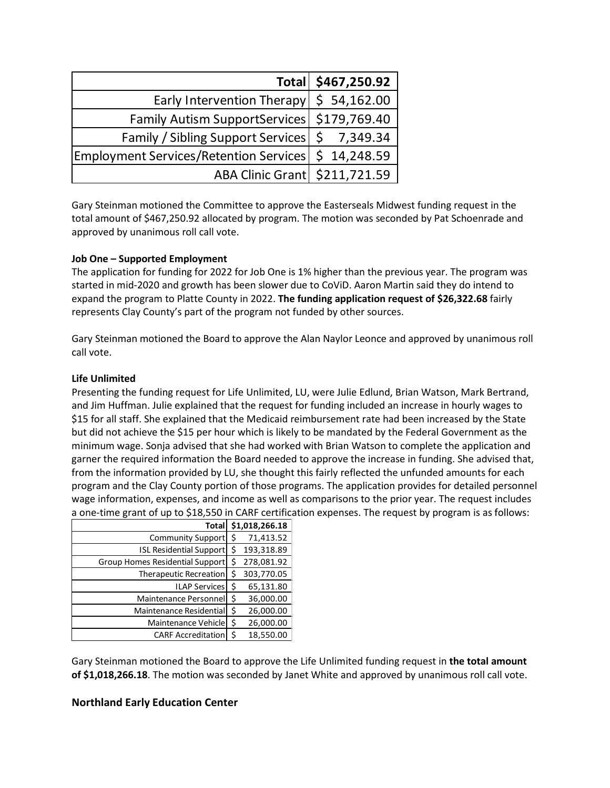|                                                       | Total \$467,250.92 |
|-------------------------------------------------------|--------------------|
| Early Intervention Therapy $\frac{1}{5}$ 54,162.00    |                    |
| Family Autism SupportServices   \$179,769.40          |                    |
| Family / Sibling Support Services   \$ 7,349.34       |                    |
| Employment Services/Retention Services   \$ 14,248.59 |                    |
| ABA Clinic Grant   \$211,721.59                       |                    |

Gary Steinman motioned the Committee to approve the Easterseals Midwest funding request in the total amount of \$467,250.92 allocated by program. The motion was seconded by Pat Schoenrade and approved by unanimous roll call vote.

#### **Job One – Supported Employment**

The application for funding for 2022 for Job One is 1% higher than the previous year. The program was started in mid-2020 and growth has been slower due to CoViD. Aaron Martin said they do intend to expand the program to Platte County in 2022. **The funding application request of \$26,322.68** fairly represents Clay County's part of the program not funded by other sources.

Gary Steinman motioned the Board to approve the Alan Naylor Leonce and approved by unanimous roll call vote.

### **Life Unlimited**

Presenting the funding request for Life Unlimited, LU, were Julie Edlund, Brian Watson, Mark Bertrand, and Jim Huffman. Julie explained that the request for funding included an increase in hourly wages to \$15 for all staff. She explained that the Medicaid reimbursement rate had been increased by the State but did not achieve the \$15 per hour which is likely to be mandated by the Federal Government as the minimum wage. Sonja advised that she had worked with Brian Watson to complete the application and garner the required information the Board needed to approve the increase in funding. She advised that, from the information provided by LU, she thought this fairly reflected the unfunded amounts for each program and the Clay County portion of those programs. The application provides for detailed personnel wage information, expenses, and income as well as comparisons to the prior year. The request includes a one-time grant of up to \$18,550 in CARF certification expenses. The request by program is as follows:

| <b>Total</b>                    | \$1,018,266.18   |
|---------------------------------|------------------|
| <b>Community Support</b>        | \$<br>71,413.52  |
| <b>ISL Residential Support</b>  | \$<br>193,318.89 |
| Group Homes Residential Support | 278,081.92       |
| <b>Therapeutic Recreation</b>   | \$<br>303,770.05 |
| <b>ILAP Services</b>            | \$<br>65,131.80  |
| Maintenance Personnel           | \$<br>36,000.00  |
| Maintenance Residential         | \$<br>26,000.00  |
| Maintenance Vehicle             | \$<br>26,000.00  |
| <b>CARF Accreditation</b>       | \$<br>18,550.00  |

Gary Steinman motioned the Board to approve the Life Unlimited funding request in **the total amount of \$1,018,266.18**. The motion was seconded by Janet White and approved by unanimous roll call vote.

## **Northland Early Education Center**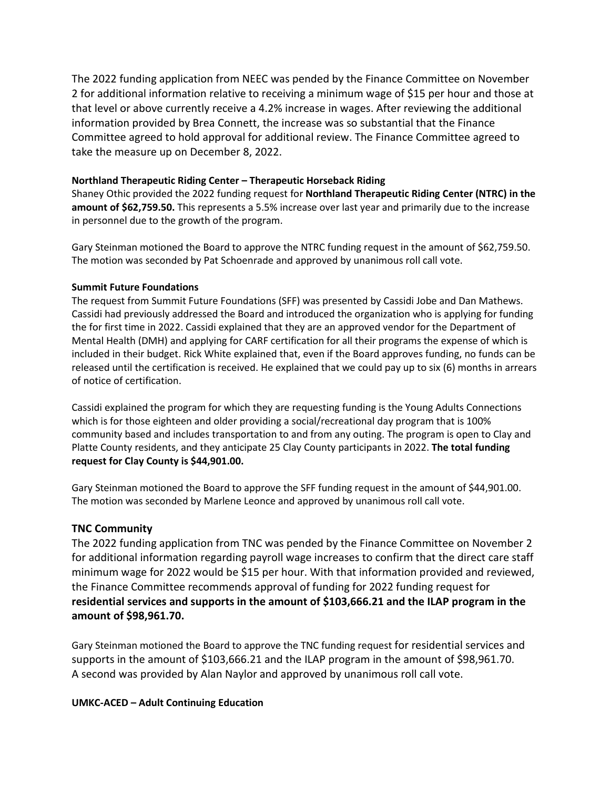The 2022 funding application from NEEC was pended by the Finance Committee on November 2 for additional information relative to receiving a minimum wage of \$15 per hour and those at that level or above currently receive a 4.2% increase in wages. After reviewing the additional information provided by Brea Connett, the increase was so substantial that the Finance Committee agreed to hold approval for additional review. The Finance Committee agreed to take the measure up on December 8, 2022.

### **Northland Therapeutic Riding Center – Therapeutic Horseback Riding**

Shaney Othic provided the 2022 funding request for **Northland Therapeutic Riding Center (NTRC) in the amount of \$62,759.50.** This represents a 5.5% increase over last year and primarily due to the increase in personnel due to the growth of the program.

Gary Steinman motioned the Board to approve the NTRC funding request in the amount of \$62,759.50. The motion was seconded by Pat Schoenrade and approved by unanimous roll call vote.

#### **Summit Future Foundations**

The request from Summit Future Foundations (SFF) was presented by Cassidi Jobe and Dan Mathews. Cassidi had previously addressed the Board and introduced the organization who is applying for funding the for first time in 2022. Cassidi explained that they are an approved vendor for the Department of Mental Health (DMH) and applying for CARF certification for all their programs the expense of which is included in their budget. Rick White explained that, even if the Board approves funding, no funds can be released until the certification is received. He explained that we could pay up to six (6) months in arrears of notice of certification.

Cassidi explained the program for which they are requesting funding is the Young Adults Connections which is for those eighteen and older providing a social/recreational day program that is 100% community based and includes transportation to and from any outing. The program is open to Clay and Platte County residents, and they anticipate 25 Clay County participants in 2022. **The total funding request for Clay County is \$44,901.00.** 

Gary Steinman motioned the Board to approve the SFF funding request in the amount of \$44,901.00. The motion was seconded by Marlene Leonce and approved by unanimous roll call vote.

## **TNC Community**

The 2022 funding application from TNC was pended by the Finance Committee on November 2 for additional information regarding payroll wage increases to confirm that the direct care staff minimum wage for 2022 would be \$15 per hour. With that information provided and reviewed, the Finance Committee recommends approval of funding for 2022 funding request for **residential services and supports in the amount of \$103,666.21 and the ILAP program in the amount of \$98,961.70.**

Gary Steinman motioned the Board to approve the TNC funding request for residential services and supports in the amount of \$103,666.21 and the ILAP program in the amount of \$98,961.70. A second was provided by Alan Naylor and approved by unanimous roll call vote.

#### **UMKC-ACED – Adult Continuing Education**